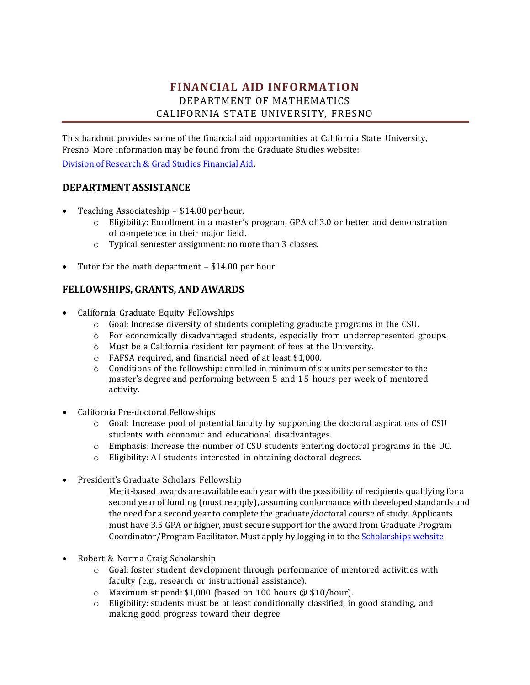# **FINANCIAL AID INFORMATION** DEPARTMENT OF MATHEMATICS CALIFORNIA STATE UNIVERSITY, FRESNO

This handout provides some of the financial aid opportunities at California State University, Fresno. More information may be found from the Graduate Studies website:

[Division of Research & Grad Studies Financial Aid.](https://www.fresnostate.edu/academics/gradstudies/financial/)

#### **DEPARTMENTASSISTANCE**

- Teaching Associateship \$14.00 per hour.
	- o Eligibility: Enrollment in a master's program, GPA of 3.0 or better and demonstration of competence in their major field.
	- o Typical semester assignment: no more than 3 classes.
- Tutor for the math department \$14.00 per hour

#### **FELLOWSHIPS, GRANTS, AND AWARDS**

- California Graduate Equity Fellowships
	- o Goal: Increase diversity of students completing graduate programs in the CSU.
	- o For economically disadvantaged students, especially from underrepresented groups.
	- o Must be a California resident for payment of fees at the University.
	- o FAFSA required, and financial need of at least \$1,000.
	- $\circ$  Conditions of the fellowship: enrolled in minimum of six units per semester to the master's degree and performing between 5 and 15 hours per week of mentored activity.
- California Pre-doctoral Fellowships
	- o Goal: Increase pool of potential faculty by supporting the doctoral aspirations of CSU students with economic and educational disadvantages.
	- o Emphasis: Increase the number of CSU students entering doctoral programs in the UC.
	- o Eligibility: A l students interested in obtaining doctoral degrees.
- President's Graduate Scholars Fellowship
	- Merit-based awards are available each year with the possibility of recipients qualifying for a second year of funding (must reapply), assuming conformance with developed standards and the need for a second year to complete the graduate/doctoral course of study. Applicants must have 3.5 GPA or higher, must secure support for the award from Graduate Program Coordinator/Program Facilitator. Must apply by logging in to the [Scholarships](http://fresnostate.edu/studentaffairs/financialaid/scholarships/scholarshipapplication/index.html) website
- Robert & Norma Craig Scholarship
	- o Goal: foster student development through performance of mentored activities with faculty (e.g., research or instructional assistance).
	- o Maximum stipend: \$1,000 (based on 100 hours @ \$10/hour).
	- $\circ$  Eligibility: students must be at least conditionally classified, in good standing, and making good progress toward their degree.